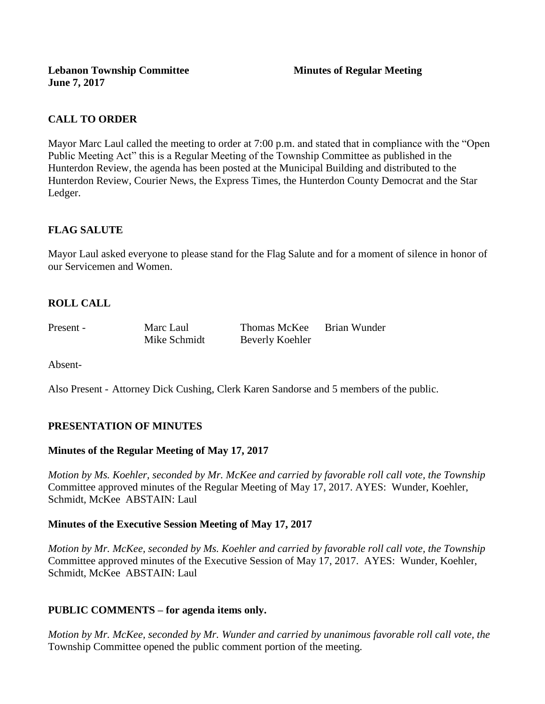# **CALL TO ORDER**

Mayor Marc Laul called the meeting to order at 7:00 p.m. and stated that in compliance with the "Open Public Meeting Act" this is a Regular Meeting of the Township Committee as published in the Hunterdon Review, the agenda has been posted at the Municipal Building and distributed to the Hunterdon Review, Courier News, the Express Times, the Hunterdon County Democrat and the Star Ledger.

# **FLAG SALUTE**

Mayor Laul asked everyone to please stand for the Flag Salute and for a moment of silence in honor of our Servicemen and Women.

# **ROLL CALL**

Present - Marc Laul Thomas McKee Brian Wunder Mike Schmidt Beverly Koehler

Absent-

Also Present - Attorney Dick Cushing, Clerk Karen Sandorse and 5 members of the public.

### **PRESENTATION OF MINUTES**

### **Minutes of the Regular Meeting of May 17, 2017**

*Motion by Ms. Koehler, seconded by Mr. McKee and carried by favorable roll call vote, the Township* Committee approved minutes of the Regular Meeting of May 17, 2017. AYES: Wunder, Koehler, Schmidt, McKee ABSTAIN: Laul

#### **Minutes of the Executive Session Meeting of May 17, 2017**

*Motion by Mr. McKee, seconded by Ms. Koehler and carried by favorable roll call vote, the Township* Committee approved minutes of the Executive Session of May 17, 2017. AYES: Wunder, Koehler, Schmidt, McKee ABSTAIN: Laul

### **PUBLIC COMMENTS – for agenda items only.**

*Motion by Mr. McKee, seconded by Mr. Wunder and carried by unanimous favorable roll call vote, the* Township Committee opened the public comment portion of the meeting.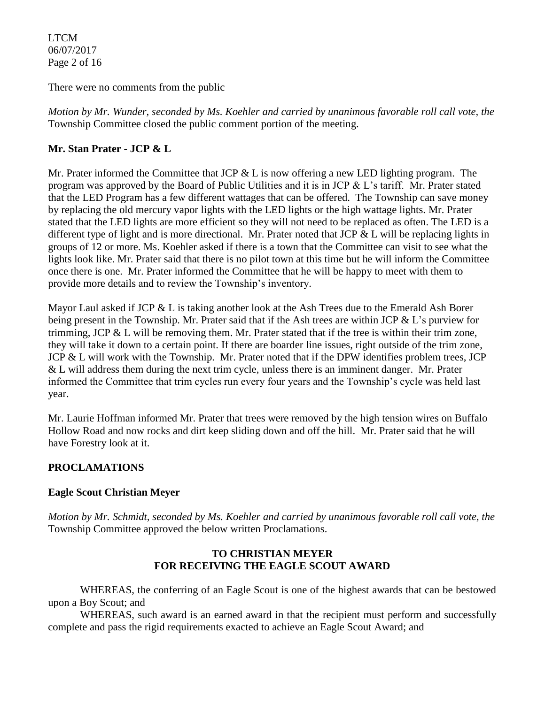LTCM 06/07/2017 Page 2 of 16

There were no comments from the public

*Motion by Mr. Wunder, seconded by Ms. Koehler and carried by unanimous favorable roll call vote, the* Township Committee closed the public comment portion of the meeting.

### **Mr. Stan Prater - JCP & L**

Mr. Prater informed the Committee that JCP  $&$  L is now offering a new LED lighting program. The program was approved by the Board of Public Utilities and it is in JCP & L's tariff. Mr. Prater stated that the LED Program has a few different wattages that can be offered. The Township can save money by replacing the old mercury vapor lights with the LED lights or the high wattage lights. Mr. Prater stated that the LED lights are more efficient so they will not need to be replaced as often. The LED is a different type of light and is more directional. Mr. Prater noted that JCP & L will be replacing lights in groups of 12 or more. Ms. Koehler asked if there is a town that the Committee can visit to see what the lights look like. Mr. Prater said that there is no pilot town at this time but he will inform the Committee once there is one. Mr. Prater informed the Committee that he will be happy to meet with them to provide more details and to review the Township's inventory.

Mayor Laul asked if JCP & L is taking another look at the Ash Trees due to the Emerald Ash Borer being present in the Township. Mr. Prater said that if the Ash trees are within JCP & L's purview for trimming, JCP & L will be removing them. Mr. Prater stated that if the tree is within their trim zone, they will take it down to a certain point. If there are boarder line issues, right outside of the trim zone, JCP & L will work with the Township. Mr. Prater noted that if the DPW identifies problem trees, JCP & L will address them during the next trim cycle, unless there is an imminent danger. Mr. Prater informed the Committee that trim cycles run every four years and the Township's cycle was held last year.

Mr. Laurie Hoffman informed Mr. Prater that trees were removed by the high tension wires on Buffalo Hollow Road and now rocks and dirt keep sliding down and off the hill. Mr. Prater said that he will have Forestry look at it.

### **PROCLAMATIONS**

### **Eagle Scout Christian Meyer**

*Motion by Mr. Schmidt, seconded by Ms. Koehler and carried by unanimous favorable roll call vote, the* Township Committee approved the below written Proclamations.

#### **TO CHRISTIAN MEYER FOR RECEIVING THE EAGLE SCOUT AWARD**

WHEREAS, the conferring of an Eagle Scout is one of the highest awards that can be bestowed upon a Boy Scout; and

WHEREAS, such award is an earned award in that the recipient must perform and successfully complete and pass the rigid requirements exacted to achieve an Eagle Scout Award; and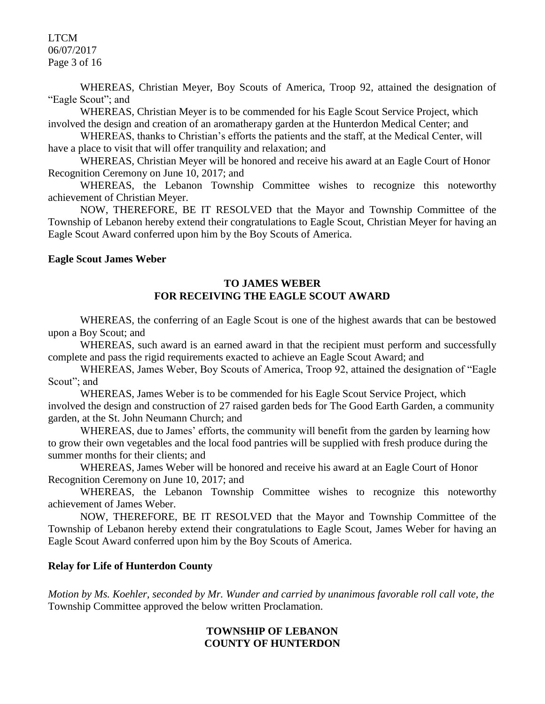LTCM 06/07/2017 Page 3 of 16

WHEREAS, Christian Meyer, Boy Scouts of America, Troop 92, attained the designation of "Eagle Scout"; and

WHEREAS, Christian Meyer is to be commended for his Eagle Scout Service Project, which involved the design and creation of an aromatherapy garden at the Hunterdon Medical Center; and

WHEREAS, thanks to Christian's efforts the patients and the staff, at the Medical Center, will have a place to visit that will offer tranquility and relaxation; and

WHEREAS, Christian Meyer will be honored and receive his award at an Eagle Court of Honor Recognition Ceremony on June 10, 2017; and

WHEREAS, the Lebanon Township Committee wishes to recognize this noteworthy achievement of Christian Meyer.

NOW, THEREFORE, BE IT RESOLVED that the Mayor and Township Committee of the Township of Lebanon hereby extend their congratulations to Eagle Scout, Christian Meyer for having an Eagle Scout Award conferred upon him by the Boy Scouts of America.

#### **Eagle Scout James Weber**

#### **TO JAMES WEBER FOR RECEIVING THE EAGLE SCOUT AWARD**

WHEREAS, the conferring of an Eagle Scout is one of the highest awards that can be bestowed upon a Boy Scout; and

WHEREAS, such award is an earned award in that the recipient must perform and successfully complete and pass the rigid requirements exacted to achieve an Eagle Scout Award; and

WHEREAS, James Weber, Boy Scouts of America, Troop 92, attained the designation of "Eagle Scout"; and

WHEREAS, James Weber is to be commended for his Eagle Scout Service Project, which involved the design and construction of 27 raised garden beds for The Good Earth Garden, a community garden, at the St. John Neumann Church; and

WHEREAS, due to James' efforts, the community will benefit from the garden by learning how to grow their own vegetables and the local food pantries will be supplied with fresh produce during the summer months for their clients; and

WHEREAS, James Weber will be honored and receive his award at an Eagle Court of Honor Recognition Ceremony on June 10, 2017; and

WHEREAS, the Lebanon Township Committee wishes to recognize this noteworthy achievement of James Weber.

NOW, THEREFORE, BE IT RESOLVED that the Mayor and Township Committee of the Township of Lebanon hereby extend their congratulations to Eagle Scout, James Weber for having an Eagle Scout Award conferred upon him by the Boy Scouts of America.

#### **Relay for Life of Hunterdon County**

*Motion by Ms. Koehler, seconded by Mr. Wunder and carried by unanimous favorable roll call vote, the* Township Committee approved the below written Proclamation.

### **TOWNSHIP OF LEBANON COUNTY OF HUNTERDON**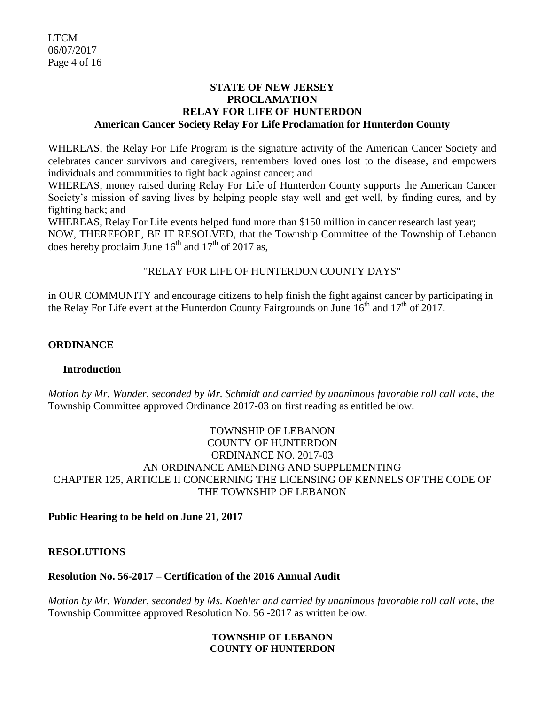#### **STATE OF NEW JERSEY PROCLAMATION RELAY FOR LIFE OF HUNTERDON American Cancer Society Relay For Life Proclamation for Hunterdon County**

WHEREAS, the Relay For Life Program is the signature activity of the American Cancer Society and celebrates cancer survivors and caregivers, remembers loved ones lost to the disease, and empowers individuals and communities to fight back against cancer; and

WHEREAS, money raised during Relay For Life of Hunterdon County supports the American Cancer Society's mission of saving lives by helping people stay well and get well, by finding cures, and by fighting back; and

WHEREAS, Relay For Life events helped fund more than \$150 million in cancer research last year; NOW, THEREFORE, BE IT RESOLVED, that the Township Committee of the Township of Lebanon does hereby proclaim June  $16^{th}$  and  $17^{th}$  of 2017 as,

# "RELAY FOR LIFE OF HUNTERDON COUNTY DAYS"

in OUR COMMUNITY and encourage citizens to help finish the fight against cancer by participating in the Relay For Life event at the Hunterdon County Fairgrounds on June  $16<sup>th</sup>$  and  $17<sup>th</sup>$  of 2017.

### **ORDINANCE**

### **Introduction**

*Motion by Mr. Wunder, seconded by Mr. Schmidt and carried by unanimous favorable roll call vote, the* Township Committee approved Ordinance 2017-03 on first reading as entitled below.

### TOWNSHIP OF LEBANON COUNTY OF HUNTERDON ORDINANCE NO. 2017-03 AN ORDINANCE AMENDING AND SUPPLEMENTING CHAPTER 125, ARTICLE II CONCERNING THE LICENSING OF KENNELS OF THE CODE OF THE TOWNSHIP OF LEBANON

### **Public Hearing to be held on June 21, 2017**

### **RESOLUTIONS**

### **Resolution No. 56-2017 – Certification of the 2016 Annual Audit**

*Motion by Mr. Wunder, seconded by Ms. Koehler and carried by unanimous favorable roll call vote, the* Township Committee approved Resolution No. 56 -2017 as written below.

#### **TOWNSHIP OF LEBANON COUNTY OF HUNTERDON**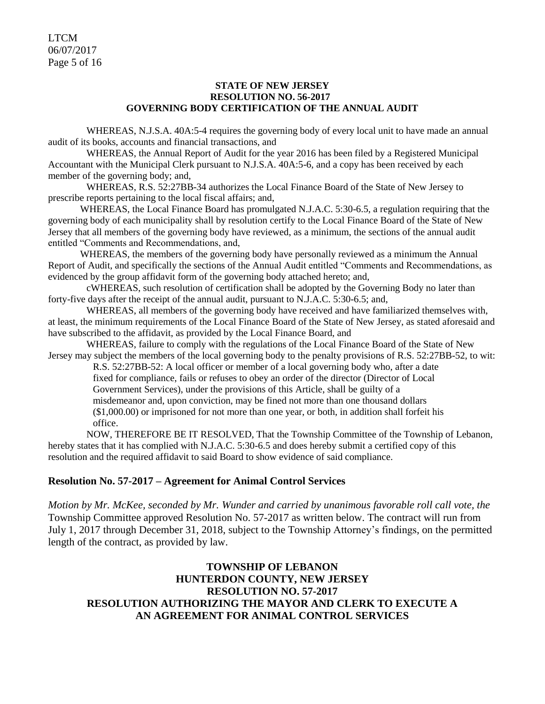LTCM 06/07/2017 Page 5 of 16

#### **STATE OF NEW JERSEY RESOLUTION NO. 56-2017 GOVERNING BODY CERTIFICATION OF THE ANNUAL AUDIT**

WHEREAS, N.J.S.A. 40A:5-4 requires the governing body of every local unit to have made an annual audit of its books, accounts and financial transactions, and

WHEREAS, the Annual Report of Audit for the year 2016 has been filed by a Registered Municipal Accountant with the Municipal Clerk pursuant to N.J.S.A. 40A:5-6, and a copy has been received by each member of the governing body; and,

WHEREAS, R.S. 52:27BB-34 authorizes the Local Finance Board of the State of New Jersey to prescribe reports pertaining to the local fiscal affairs; and,

WHEREAS, the Local Finance Board has promulgated N.J.A.C. 5:30-6.5, a regulation requiring that the governing body of each municipality shall by resolution certify to the Local Finance Board of the State of New Jersey that all members of the governing body have reviewed, as a minimum, the sections of the annual audit entitled "Comments and Recommendations, and,

WHEREAS, the members of the governing body have personally reviewed as a minimum the Annual Report of Audit, and specifically the sections of the Annual Audit entitled "Comments and Recommendations, as evidenced by the group affidavit form of the governing body attached hereto; and,

cWHEREAS, such resolution of certification shall be adopted by the Governing Body no later than forty-five days after the receipt of the annual audit, pursuant to N.J.A.C. 5:30-6.5; and,

WHEREAS, all members of the governing body have received and have familiarized themselves with, at least, the minimum requirements of the Local Finance Board of the State of New Jersey, as stated aforesaid and have subscribed to the affidavit, as provided by the Local Finance Board, and

WHEREAS, failure to comply with the regulations of the Local Finance Board of the State of New Jersey may subject the members of the local governing body to the penalty provisions of R.S. 52:27BB-52, to wit:

R.S. 52:27BB-52: A local officer or member of a local governing body who, after a date fixed for compliance, fails or refuses to obey an order of the director (Director of Local Government Services), under the provisions of this Article, shall be guilty of a misdemeanor and, upon conviction, may be fined not more than one thousand dollars (\$1,000.00) or imprisoned for not more than one year, or both, in addition shall forfeit his office.

NOW, THEREFORE BE IT RESOLVED, That the Township Committee of the Township of Lebanon, hereby states that it has complied with N.J.A.C. 5:30-6.5 and does hereby submit a certified copy of this resolution and the required affidavit to said Board to show evidence of said compliance.

#### **Resolution No. 57-2017 – Agreement for Animal Control Services**

*Motion by Mr. McKee, seconded by Mr. Wunder and carried by unanimous favorable roll call vote, the* Township Committee approved Resolution No. 57-2017 as written below. The contract will run from July 1, 2017 through December 31, 2018, subject to the Township Attorney's findings, on the permitted length of the contract, as provided by law.

### **TOWNSHIP OF LEBANON HUNTERDON COUNTY, NEW JERSEY RESOLUTION NO. 57-2017 RESOLUTION AUTHORIZING THE MAYOR AND CLERK TO EXECUTE A AN AGREEMENT FOR ANIMAL CONTROL SERVICES**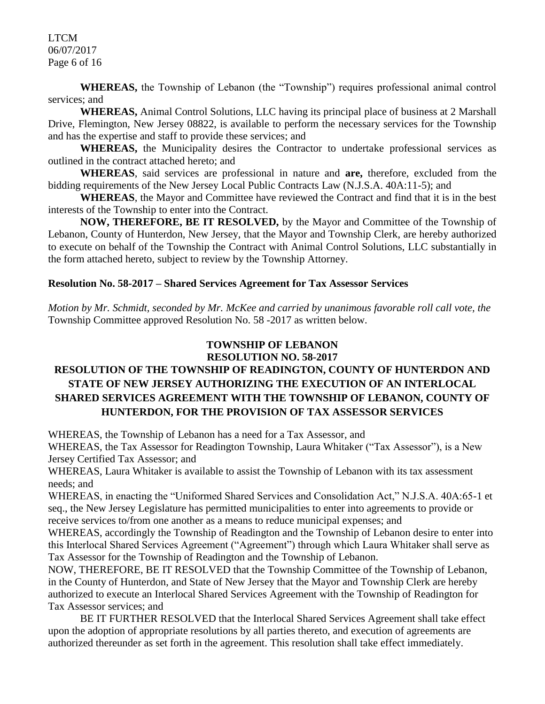LTCM 06/07/2017 Page 6 of 16

**WHEREAS,** the Township of Lebanon (the "Township") requires professional animal control services: and

**WHEREAS,** Animal Control Solutions, LLC having its principal place of business at 2 Marshall Drive, Flemington, New Jersey 08822, is available to perform the necessary services for the Township and has the expertise and staff to provide these services; and

**WHEREAS,** the Municipality desires the Contractor to undertake professional services as outlined in the contract attached hereto; and

**WHEREAS**, said services are professional in nature and **are,** therefore, excluded from the bidding requirements of the New Jersey Local Public Contracts Law (N.J.S.A. 40A:11-5); and

**WHEREAS**, the Mayor and Committee have reviewed the Contract and find that it is in the best interests of the Township to enter into the Contract.

**NOW, THEREFORE, BE IT RESOLVED,** by the Mayor and Committee of the Township of Lebanon, County of Hunterdon, New Jersey, that the Mayor and Township Clerk, are hereby authorized to execute on behalf of the Township the Contract with Animal Control Solutions, LLC substantially in the form attached hereto, subject to review by the Township Attorney.

#### **Resolution No. 58-2017 – Shared Services Agreement for Tax Assessor Services**

*Motion by Mr. Schmidt, seconded by Mr. McKee and carried by unanimous favorable roll call vote, the* Township Committee approved Resolution No. 58 -2017 as written below.

#### **TOWNSHIP OF LEBANON RESOLUTION NO. 58-2017**

# **RESOLUTION OF THE TOWNSHIP OF READINGTON, COUNTY OF HUNTERDON AND STATE OF NEW JERSEY AUTHORIZING THE EXECUTION OF AN INTERLOCAL SHARED SERVICES AGREEMENT WITH THE TOWNSHIP OF LEBANON, COUNTY OF HUNTERDON, FOR THE PROVISION OF TAX ASSESSOR SERVICES**

WHEREAS, the Township of Lebanon has a need for a Tax Assessor, and

WHEREAS, the Tax Assessor for Readington Township, Laura Whitaker ("Tax Assessor"), is a New Jersey Certified Tax Assessor; and

WHEREAS, Laura Whitaker is available to assist the Township of Lebanon with its tax assessment needs; and

WHEREAS, in enacting the "Uniformed Shared Services and Consolidation Act," N.J.S.A. 40A:65-1 et seq., the New Jersey Legislature has permitted municipalities to enter into agreements to provide or receive services to/from one another as a means to reduce municipal expenses; and

WHEREAS, accordingly the Township of Readington and the Township of Lebanon desire to enter into this Interlocal Shared Services Agreement ("Agreement") through which Laura Whitaker shall serve as Tax Assessor for the Township of Readington and the Township of Lebanon.

NOW, THEREFORE, BE IT RESOLVED that the Township Committee of the Township of Lebanon, in the County of Hunterdon, and State of New Jersey that the Mayor and Township Clerk are hereby authorized to execute an Interlocal Shared Services Agreement with the Township of Readington for Tax Assessor services; and

BE IT FURTHER RESOLVED that the Interlocal Shared Services Agreement shall take effect upon the adoption of appropriate resolutions by all parties thereto, and execution of agreements are authorized thereunder as set forth in the agreement. This resolution shall take effect immediately.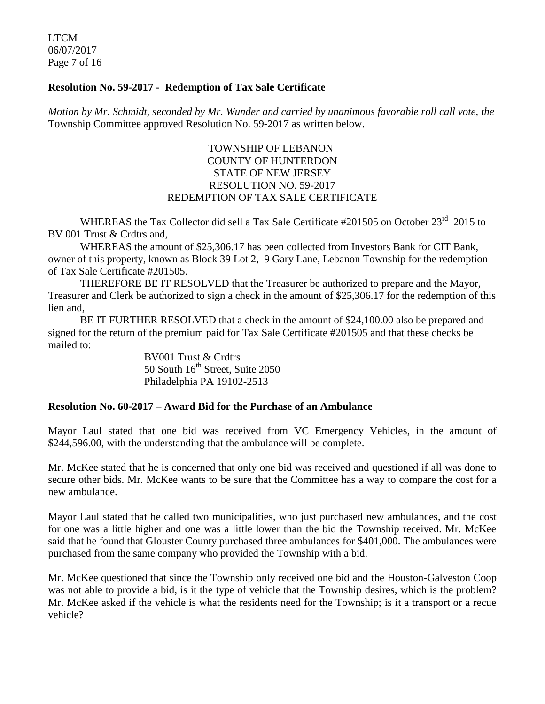LTCM 06/07/2017 Page 7 of 16

#### **Resolution No. 59-2017 - Redemption of Tax Sale Certificate**

*Motion by Mr. Schmidt, seconded by Mr. Wunder and carried by unanimous favorable roll call vote, the* Township Committee approved Resolution No. 59-2017 as written below.

### TOWNSHIP OF LEBANON COUNTY OF HUNTERDON STATE OF NEW JERSEY RESOLUTION NO. 59-2017 REDEMPTION OF TAX SALE CERTIFICATE

WHEREAS the Tax Collector did sell a Tax Sale Certificate #201505 on October 23<sup>rd</sup> 2015 to BV 001 Trust & Crdtrs and,

WHEREAS the amount of \$25,306.17 has been collected from Investors Bank for CIT Bank, owner of this property, known as Block 39 Lot 2, 9 Gary Lane, Lebanon Township for the redemption of Tax Sale Certificate #201505.

THEREFORE BE IT RESOLVED that the Treasurer be authorized to prepare and the Mayor, Treasurer and Clerk be authorized to sign a check in the amount of \$25,306.17 for the redemption of this lien and,

BE IT FURTHER RESOLVED that a check in the amount of \$24,100.00 also be prepared and signed for the return of the premium paid for Tax Sale Certificate #201505 and that these checks be mailed to:

> BV001 Trust & Crdtrs 50 South  $16<sup>th</sup>$  Street, Suite 2050 Philadelphia PA 19102-2513

#### **Resolution No. 60-2017 – Award Bid for the Purchase of an Ambulance**

Mayor Laul stated that one bid was received from VC Emergency Vehicles, in the amount of \$244,596.00, with the understanding that the ambulance will be complete.

Mr. McKee stated that he is concerned that only one bid was received and questioned if all was done to secure other bids. Mr. McKee wants to be sure that the Committee has a way to compare the cost for a new ambulance.

Mayor Laul stated that he called two municipalities, who just purchased new ambulances, and the cost for one was a little higher and one was a little lower than the bid the Township received. Mr. McKee said that he found that Glouster County purchased three ambulances for \$401,000. The ambulances were purchased from the same company who provided the Township with a bid.

Mr. McKee questioned that since the Township only received one bid and the Houston-Galveston Coop was not able to provide a bid, is it the type of vehicle that the Township desires, which is the problem? Mr. McKee asked if the vehicle is what the residents need for the Township; is it a transport or a recue vehicle?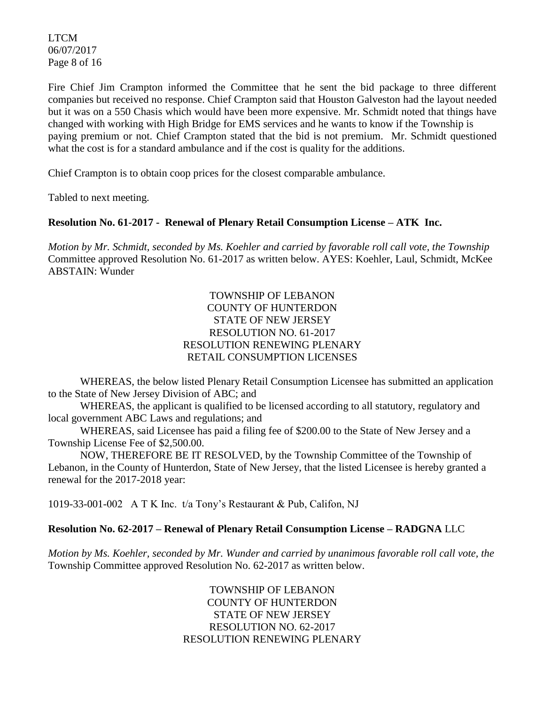LTCM 06/07/2017 Page 8 of 16

Fire Chief Jim Crampton informed the Committee that he sent the bid package to three different companies but received no response. Chief Crampton said that Houston Galveston had the layout needed but it was on a 550 Chasis which would have been more expensive. Mr. Schmidt noted that things have changed with working with High Bridge for EMS services and he wants to know if the Township is paying premium or not. Chief Crampton stated that the bid is not premium. Mr. Schmidt questioned what the cost is for a standard ambulance and if the cost is quality for the additions.

Chief Crampton is to obtain coop prices for the closest comparable ambulance.

Tabled to next meeting.

### **Resolution No. 61-2017 - Renewal of Plenary Retail Consumption License – ATK Inc.**

*Motion by Mr. Schmidt, seconded by Ms. Koehler and carried by favorable roll call vote, the Township* Committee approved Resolution No. 61-2017 as written below. AYES: Koehler, Laul, Schmidt, McKee ABSTAIN: Wunder

#### TOWNSHIP OF LEBANON COUNTY OF HUNTERDON STATE OF NEW JERSEY RESOLUTION NO. 61-2017 RESOLUTION RENEWING PLENARY RETAIL CONSUMPTION LICENSES

WHEREAS, the below listed Plenary Retail Consumption Licensee has submitted an application to the State of New Jersey Division of ABC; and

WHEREAS, the applicant is qualified to be licensed according to all statutory, regulatory and local government ABC Laws and regulations; and

WHEREAS, said Licensee has paid a filing fee of \$200.00 to the State of New Jersey and a Township License Fee of \$2,500.00.

NOW, THEREFORE BE IT RESOLVED, by the Township Committee of the Township of Lebanon, in the County of Hunterdon, State of New Jersey, that the listed Licensee is hereby granted a renewal for the 2017-2018 year:

1019-33-001-002 A T K Inc. t/a Tony's Restaurant & Pub, Califon, NJ

### **Resolution No. 62-2017 – Renewal of Plenary Retail Consumption License – RADGNA** LLC

*Motion by Ms. Koehler, seconded by Mr. Wunder and carried by unanimous favorable roll call vote, the* Township Committee approved Resolution No. 62-2017 as written below.

> TOWNSHIP OF LEBANON COUNTY OF HUNTERDON STATE OF NEW JERSEY RESOLUTION NO. 62-2017 RESOLUTION RENEWING PLENARY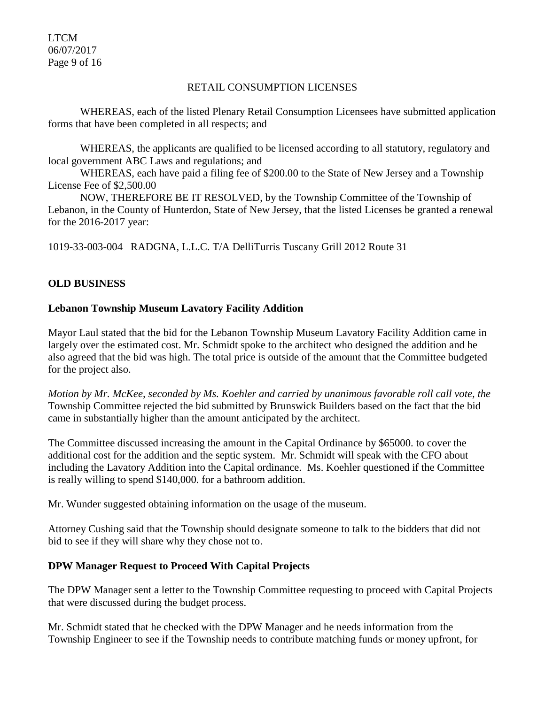LTCM 06/07/2017 Page 9 of 16

#### RETAIL CONSUMPTION LICENSES

WHEREAS, each of the listed Plenary Retail Consumption Licensees have submitted application forms that have been completed in all respects; and

WHEREAS, the applicants are qualified to be licensed according to all statutory, regulatory and local government ABC Laws and regulations; and

WHEREAS, each have paid a filing fee of \$200.00 to the State of New Jersey and a Township License Fee of \$2,500.00

NOW, THEREFORE BE IT RESOLVED, by the Township Committee of the Township of Lebanon, in the County of Hunterdon, State of New Jersey, that the listed Licenses be granted a renewal for the 2016-2017 year:

1019-33-003-004 RADGNA, L.L.C. T/A DelliTurris Tuscany Grill 2012 Route 31

#### **OLD BUSINESS**

#### **Lebanon Township Museum Lavatory Facility Addition**

Mayor Laul stated that the bid for the Lebanon Township Museum Lavatory Facility Addition came in largely over the estimated cost. Mr. Schmidt spoke to the architect who designed the addition and he also agreed that the bid was high. The total price is outside of the amount that the Committee budgeted for the project also.

*Motion by Mr. McKee, seconded by Ms. Koehler and carried by unanimous favorable roll call vote, the* Township Committee rejected the bid submitted by Brunswick Builders based on the fact that the bid came in substantially higher than the amount anticipated by the architect.

The Committee discussed increasing the amount in the Capital Ordinance by \$65000. to cover the additional cost for the addition and the septic system. Mr. Schmidt will speak with the CFO about including the Lavatory Addition into the Capital ordinance. Ms. Koehler questioned if the Committee is really willing to spend \$140,000. for a bathroom addition.

Mr. Wunder suggested obtaining information on the usage of the museum.

Attorney Cushing said that the Township should designate someone to talk to the bidders that did not bid to see if they will share why they chose not to.

#### **DPW Manager Request to Proceed With Capital Projects**

The DPW Manager sent a letter to the Township Committee requesting to proceed with Capital Projects that were discussed during the budget process.

Mr. Schmidt stated that he checked with the DPW Manager and he needs information from the Township Engineer to see if the Township needs to contribute matching funds or money upfront, for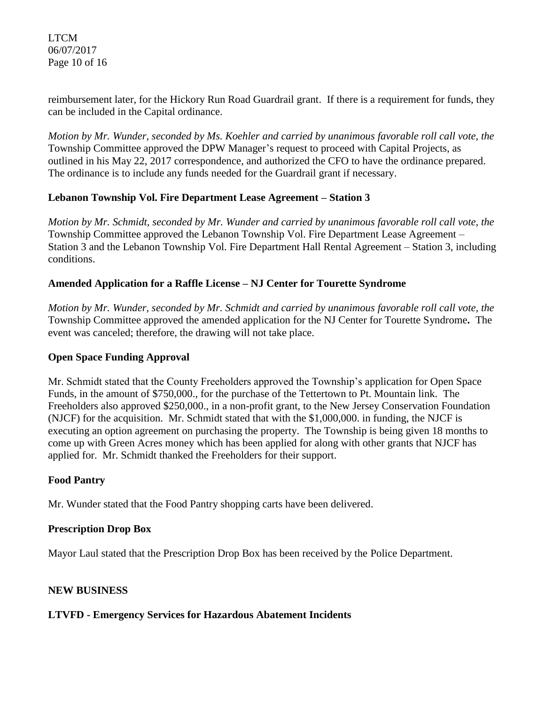LTCM 06/07/2017 Page 10 of 16

reimbursement later, for the Hickory Run Road Guardrail grant. If there is a requirement for funds, they can be included in the Capital ordinance.

*Motion by Mr. Wunder, seconded by Ms. Koehler and carried by unanimous favorable roll call vote, the* Township Committee approved the DPW Manager's request to proceed with Capital Projects, as outlined in his May 22, 2017 correspondence, and authorized the CFO to have the ordinance prepared. The ordinance is to include any funds needed for the Guardrail grant if necessary.

### **Lebanon Township Vol. Fire Department Lease Agreement – Station 3**

*Motion by Mr. Schmidt, seconded by Mr. Wunder and carried by unanimous favorable roll call vote, the* Township Committee approved the Lebanon Township Vol. Fire Department Lease Agreement – Station 3 and the Lebanon Township Vol. Fire Department Hall Rental Agreement – Station 3, including conditions.

#### **Amended Application for a Raffle License – NJ Center for Tourette Syndrome**

*Motion by Mr. Wunder, seconded by Mr. Schmidt and carried by unanimous favorable roll call vote, the* Township Committee approved the amended application for the NJ Center for Tourette Syndrome**.** The event was canceled; therefore, the drawing will not take place.

#### **Open Space Funding Approval**

Mr. Schmidt stated that the County Freeholders approved the Township's application for Open Space Funds, in the amount of \$750,000., for the purchase of the Tettertown to Pt. Mountain link. The Freeholders also approved \$250,000., in a non-profit grant, to the New Jersey Conservation Foundation (NJCF) for the acquisition. Mr. Schmidt stated that with the \$1,000,000. in funding, the NJCF is executing an option agreement on purchasing the property. The Township is being given 18 months to come up with Green Acres money which has been applied for along with other grants that NJCF has applied for. Mr. Schmidt thanked the Freeholders for their support.

#### **Food Pantry**

Mr. Wunder stated that the Food Pantry shopping carts have been delivered.

#### **Prescription Drop Box**

Mayor Laul stated that the Prescription Drop Box has been received by the Police Department.

### **NEW BUSINESS**

#### **LTVFD - Emergency Services for Hazardous Abatement Incidents**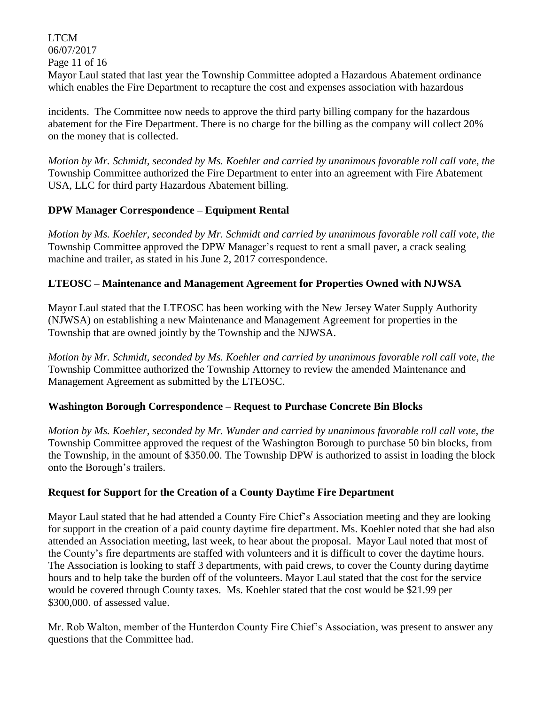LTCM 06/07/2017 Page 11 of 16 Mayor Laul stated that last year the Township Committee adopted a Hazardous Abatement ordinance which enables the Fire Department to recapture the cost and expenses association with hazardous

incidents. The Committee now needs to approve the third party billing company for the hazardous abatement for the Fire Department. There is no charge for the billing as the company will collect 20% on the money that is collected.

*Motion by Mr. Schmidt, seconded by Ms. Koehler and carried by unanimous favorable roll call vote, the* Township Committee authorized the Fire Department to enter into an agreement with Fire Abatement USA, LLC for third party Hazardous Abatement billing.

### **DPW Manager Correspondence – Equipment Rental**

*Motion by Ms. Koehler, seconded by Mr. Schmidt and carried by unanimous favorable roll call vote, the* Township Committee approved the DPW Manager's request to rent a small paver, a crack sealing machine and trailer, as stated in his June 2, 2017 correspondence.

# **LTEOSC – Maintenance and Management Agreement for Properties Owned with NJWSA**

Mayor Laul stated that the LTEOSC has been working with the New Jersey Water Supply Authority (NJWSA) on establishing a new Maintenance and Management Agreement for properties in the Township that are owned jointly by the Township and the NJWSA.

*Motion by Mr. Schmidt, seconded by Ms. Koehler and carried by unanimous favorable roll call vote, the* Township Committee authorized the Township Attorney to review the amended Maintenance and Management Agreement as submitted by the LTEOSC.

# **Washington Borough Correspondence – Request to Purchase Concrete Bin Blocks**

*Motion by Ms. Koehler, seconded by Mr. Wunder and carried by unanimous favorable roll call vote, the* Township Committee approved the request of the Washington Borough to purchase 50 bin blocks, from the Township, in the amount of \$350.00. The Township DPW is authorized to assist in loading the block onto the Borough's trailers.

### **Request for Support for the Creation of a County Daytime Fire Department**

Mayor Laul stated that he had attended a County Fire Chief's Association meeting and they are looking for support in the creation of a paid county daytime fire department. Ms. Koehler noted that she had also attended an Association meeting, last week, to hear about the proposal. Mayor Laul noted that most of the County's fire departments are staffed with volunteers and it is difficult to cover the daytime hours. The Association is looking to staff 3 departments, with paid crews, to cover the County during daytime hours and to help take the burden off of the volunteers. Mayor Laul stated that the cost for the service would be covered through County taxes. Ms. Koehler stated that the cost would be \$21.99 per \$300,000. of assessed value.

Mr. Rob Walton, member of the Hunterdon County Fire Chief's Association, was present to answer any questions that the Committee had.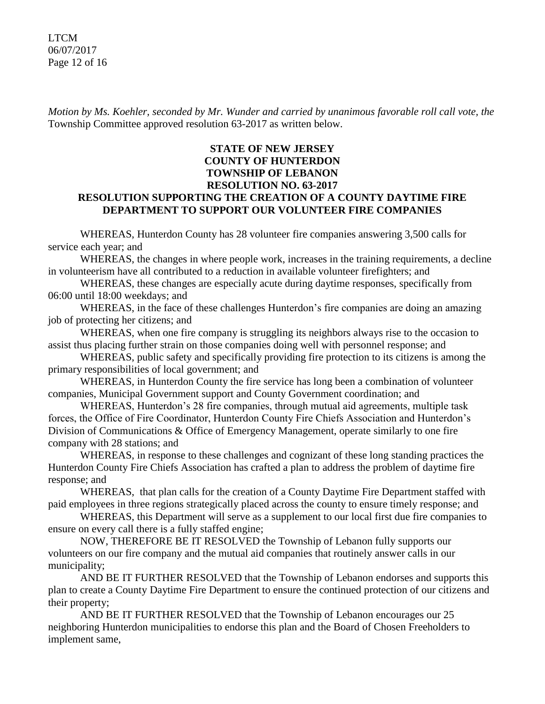LTCM 06/07/2017 Page 12 of 16

*Motion by Ms. Koehler, seconded by Mr. Wunder and carried by unanimous favorable roll call vote, the* Township Committee approved resolution 63-2017 as written below.

#### **STATE OF NEW JERSEY COUNTY OF HUNTERDON TOWNSHIP OF LEBANON RESOLUTION NO. 63-2017 RESOLUTION SUPPORTING THE CREATION OF A COUNTY DAYTIME FIRE DEPARTMENT TO SUPPORT OUR VOLUNTEER FIRE COMPANIES**

WHEREAS, Hunterdon County has 28 volunteer fire companies answering 3,500 calls for service each year; and

WHEREAS, the changes in where people work, increases in the training requirements, a decline in volunteerism have all contributed to a reduction in available volunteer firefighters; and

WHEREAS, these changes are especially acute during daytime responses, specifically from 06:00 until 18:00 weekdays; and

WHEREAS, in the face of these challenges Hunterdon's fire companies are doing an amazing job of protecting her citizens; and

WHEREAS, when one fire company is struggling its neighbors always rise to the occasion to assist thus placing further strain on those companies doing well with personnel response; and

WHEREAS, public safety and specifically providing fire protection to its citizens is among the primary responsibilities of local government; and

WHEREAS, in Hunterdon County the fire service has long been a combination of volunteer companies, Municipal Government support and County Government coordination; and

WHEREAS, Hunterdon's 28 fire companies, through mutual aid agreements, multiple task forces, the Office of Fire Coordinator, Hunterdon County Fire Chiefs Association and Hunterdon's Division of Communications & Office of Emergency Management, operate similarly to one fire company with 28 stations; and

WHEREAS, in response to these challenges and cognizant of these long standing practices the Hunterdon County Fire Chiefs Association has crafted a plan to address the problem of daytime fire response; and

WHEREAS, that plan calls for the creation of a County Daytime Fire Department staffed with paid employees in three regions strategically placed across the county to ensure timely response; and

WHEREAS, this Department will serve as a supplement to our local first due fire companies to ensure on every call there is a fully staffed engine;

NOW, THEREFORE BE IT RESOLVED the Township of Lebanon fully supports our volunteers on our fire company and the mutual aid companies that routinely answer calls in our municipality;

AND BE IT FURTHER RESOLVED that the Township of Lebanon endorses and supports this plan to create a County Daytime Fire Department to ensure the continued protection of our citizens and their property;

AND BE IT FURTHER RESOLVED that the Township of Lebanon encourages our 25 neighboring Hunterdon municipalities to endorse this plan and the Board of Chosen Freeholders to implement same,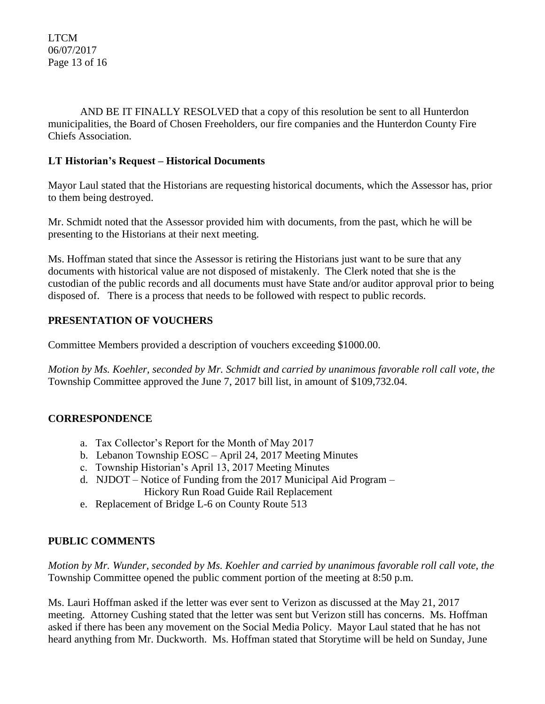AND BE IT FINALLY RESOLVED that a copy of this resolution be sent to all Hunterdon municipalities, the Board of Chosen Freeholders, our fire companies and the Hunterdon County Fire Chiefs Association.

### **LT Historian's Request – Historical Documents**

Mayor Laul stated that the Historians are requesting historical documents, which the Assessor has, prior to them being destroyed.

Mr. Schmidt noted that the Assessor provided him with documents, from the past, which he will be presenting to the Historians at their next meeting.

Ms. Hoffman stated that since the Assessor is retiring the Historians just want to be sure that any documents with historical value are not disposed of mistakenly. The Clerk noted that she is the custodian of the public records and all documents must have State and/or auditor approval prior to being disposed of. There is a process that needs to be followed with respect to public records.

# **PRESENTATION OF VOUCHERS**

Committee Members provided a description of vouchers exceeding \$1000.00.

*Motion by Ms. Koehler, seconded by Mr. Schmidt and carried by unanimous favorable roll call vote, the* Township Committee approved the June 7, 2017 bill list, in amount of \$109,732.04.

# **CORRESPONDENCE**

- a. Tax Collector's Report for the Month of May 2017
- b. Lebanon Township EOSC April 24, 2017 Meeting Minutes
- c. Township Historian's April 13, 2017 Meeting Minutes
- d. NJDOT Notice of Funding from the 2017 Municipal Aid Program Hickory Run Road Guide Rail Replacement
- e. Replacement of Bridge L-6 on County Route 513

# **PUBLIC COMMENTS**

*Motion by Mr. Wunder, seconded by Ms. Koehler and carried by unanimous favorable roll call vote, the* Township Committee opened the public comment portion of the meeting at 8:50 p.m.

Ms. Lauri Hoffman asked if the letter was ever sent to Verizon as discussed at the May 21, 2017 meeting. Attorney Cushing stated that the letter was sent but Verizon still has concerns. Ms. Hoffman asked if there has been any movement on the Social Media Policy. Mayor Laul stated that he has not heard anything from Mr. Duckworth. Ms. Hoffman stated that Storytime will be held on Sunday, June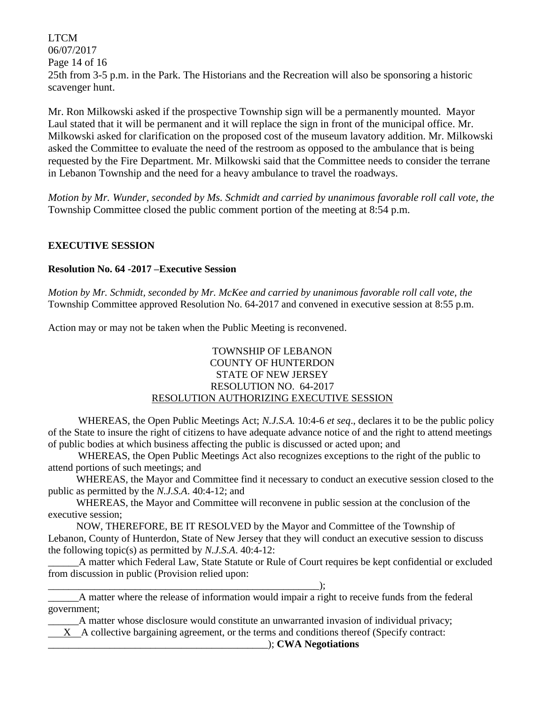LTCM 06/07/2017 Page 14 of 16 25th from 3-5 p.m. in the Park. The Historians and the Recreation will also be sponsoring a historic scavenger hunt.

Mr. Ron Milkowski asked if the prospective Township sign will be a permanently mounted. Mayor Laul stated that it will be permanent and it will replace the sign in front of the municipal office. Mr. Milkowski asked for clarification on the proposed cost of the museum lavatory addition. Mr. Milkowski asked the Committee to evaluate the need of the restroom as opposed to the ambulance that is being requested by the Fire Department. Mr. Milkowski said that the Committee needs to consider the terrane in Lebanon Township and the need for a heavy ambulance to travel the roadways.

*Motion by Mr. Wunder, seconded by Ms. Schmidt and carried by unanimous favorable roll call vote, the* Township Committee closed the public comment portion of the meeting at 8:54 p.m.

#### **EXECUTIVE SESSION**

#### **Resolution No. 64 -2017 –Executive Session**

*Motion by Mr. Schmidt, seconded by Mr. McKee and carried by unanimous favorable roll call vote, the* Township Committee approved Resolution No. 64-2017 and convened in executive session at 8:55 p.m.

Action may or may not be taken when the Public Meeting is reconvened.

#### TOWNSHIP OF LEBANON COUNTY OF HUNTERDON STATE OF NEW JERSEY RESOLUTION NO. 64-2017 RESOLUTION AUTHORIZING EXECUTIVE SESSION

WHEREAS, the Open Public Meetings Act; *N.J.S.A.* 10:4-6 *et seq*., declares it to be the public policy of the State to insure the right of citizens to have adequate advance notice of and the right to attend meetings of public bodies at which business affecting the public is discussed or acted upon; and

WHEREAS, the Open Public Meetings Act also recognizes exceptions to the right of the public to attend portions of such meetings; and

 WHEREAS, the Mayor and Committee find it necessary to conduct an executive session closed to the public as permitted by the *N.J.S.A*. 40:4-12; and

 WHEREAS, the Mayor and Committee will reconvene in public session at the conclusion of the executive session;

 NOW, THEREFORE, BE IT RESOLVED by the Mayor and Committee of the Township of Lebanon, County of Hunterdon, State of New Jersey that they will conduct an executive session to discuss the following topic(s) as permitted by *N.J.S.A*. 40:4-12:

\_\_\_\_\_\_A matter which Federal Law, State Statute or Rule of Court requires be kept confidential or excluded from discussion in public (Provision relied upon:

\_\_\_\_\_\_\_\_\_\_\_\_\_\_\_\_\_\_\_\_\_\_\_\_\_\_\_\_\_\_\_\_\_\_\_\_\_\_\_\_\_\_\_\_\_\_\_\_\_\_\_\_\_);

\_\_\_\_\_\_A matter where the release of information would impair a right to receive funds from the federal government;

\_\_\_\_\_\_A matter whose disclosure would constitute an unwarranted invasion of individual privacy;

X A collective bargaining agreement, or the terms and conditions thereof (Specify contract:

\_\_\_\_\_\_\_\_\_\_\_\_\_\_\_\_\_\_\_\_\_\_\_\_\_\_\_\_\_\_\_\_\_\_\_\_\_\_\_\_\_\_\_); **CWA Negotiations**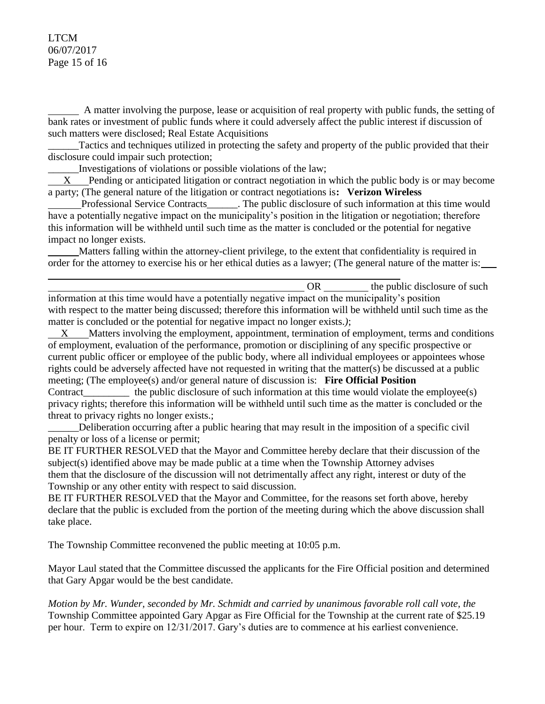#### LTCM 06/07/2017 Page 15 of 16

 A matter involving the purpose, lease or acquisition of real property with public funds, the setting of bank rates or investment of public funds where it could adversely affect the public interest if discussion of such matters were disclosed; Real Estate Acquisitions

Tactics and techniques utilized in protecting the safety and property of the public provided that their disclosure could impair such protection;

\_\_\_\_\_\_Investigations of violations or possible violations of the law;

 X Pending or anticipated litigation or contract negotiation in which the public body is or may become a party; (The general nature of the litigation or contract negotiations is**: Verizon Wireless**

Professional Service Contracts The public disclosure of such information at this time would have a potentially negative impact on the municipality's position in the litigation or negotiation; therefore this information will be withheld until such time as the matter is concluded or the potential for negative impact no longer exists.

 Matters falling within the attorney-client privilege, to the extent that confidentiality is required in order for the attorney to exercise his or her ethical duties as a lawyer; (The general nature of the matter is:

OR the public disclosure of such  $\theta$ information at this time would have a potentially negative impact on the municipality's position with respect to the matter being discussed; therefore this information will be withheld until such time as the matter is concluded or the potential for negative impact no longer exists.*)*;

Matters involving the employment, appointment, termination of employment, terms and conditions of employment, evaluation of the performance, promotion or disciplining of any specific prospective or current public officer or employee of the public body, where all individual employees or appointees whose rights could be adversely affected have not requested in writing that the matter(s) be discussed at a public meeting; (The employee(s) and/or general nature of discussion is: **Fire Official Position** Contract the public disclosure of such information at this time would violate the employee(s) privacy rights; therefore this information will be withheld until such time as the matter is concluded or the

threat to privacy rights no longer exists.;

\_\_\_\_\_\_Deliberation occurring after a public hearing that may result in the imposition of a specific civil penalty or loss of a license or permit;

BE IT FURTHER RESOLVED that the Mayor and Committee hereby declare that their discussion of the subject(s) identified above may be made public at a time when the Township Attorney advises them that the disclosure of the discussion will not detrimentally affect any right, interest or duty of the Township or any other entity with respect to said discussion.

BE IT FURTHER RESOLVED that the Mayor and Committee, for the reasons set forth above, hereby declare that the public is excluded from the portion of the meeting during which the above discussion shall take place.

The Township Committee reconvened the public meeting at 10:05 p.m.

Mayor Laul stated that the Committee discussed the applicants for the Fire Official position and determined that Gary Apgar would be the best candidate.

*Motion by Mr. Wunder, seconded by Mr. Schmidt and carried by unanimous favorable roll call vote, the* Township Committee appointed Gary Apgar as Fire Official for the Township at the current rate of \$25.19 per hour. Term to expire on 12/31/2017. Gary's duties are to commence at his earliest convenience.